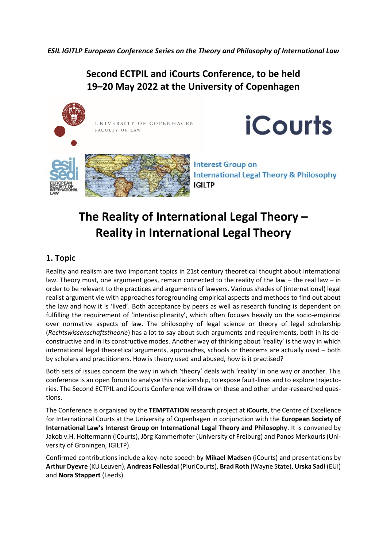*ESIL IGITLP European Conference Series on the Theory and Philosophy of International Law*

**Second ECTPIL and iCourts Conference, to be held 19–20 May 2022 at the University of Copenhagen**



**iCourts** 

**Interest Group on International Legal Theory & Philosophy IGILTP** 

## **The Reality of International Legal Theory – Reality in International Legal Theory**

## **1. Topic**

Reality and realism are two important topics in 21st century theoretical thought about international law. Theory must, one argument goes, remain connected to the reality of the law – the real law – in order to be relevant to the practices and arguments of lawyers. Various shades of (international) legal realist argument vie with approaches foregrounding empirical aspects and methods to find out about the law and how it is 'lived'. Both acceptance by peers as well as research funding is dependent on fulfilling the requirement of 'interdisciplinarity', which often focuses heavily on the socio-empirical over normative aspects of law. The philosophy of legal science or theory of legal scholarship (*Rechtswissenschaftstheorie*) has a lot to say about such arguments and requirements, both in its deconstructive and in its constructive modes. Another way of thinking about 'reality' is the way in which international legal theoretical arguments, approaches, schools or theorems are actually used – both by scholars and practitioners. How is theory used and abused, how is it practised?

Both sets of issues concern the way in which 'theory' deals with 'reality' in one way or another. This conference is an open forum to analyse this relationship, to expose fault-lines and to explore trajectories. The Second ECTPIL and iCourts Conference will draw on these and other under-researched questions.

The Conference is organised by the **TEMPTATION** research project at **iCourts**, the Centre of Excellence for International Courts at the University of Copenhagen in conjunction with the **European Society of International Law's Interest Group on International Legal Theory and Philosophy**. It is convened by Jakob v.H. Holtermann (iCourts), Jörg Kammerhofer (University of Freiburg) and Panos Merkouris (University of Groningen, IGILTP).

Confirmed contributions include a key-note speech by **Mikael Madsen** (iCourts) and presentations by **Arthur Dyevre** (KU Leuven), **Andreas Føllesdal** (PluriCourts), **Brad Roth** (Wayne State), **Urska Sadl** (EUI) and **Nora Stappert** (Leeds).